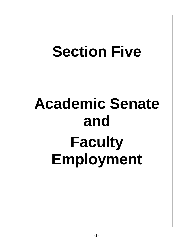# **Section Five Academic Senate and Faculty Employment**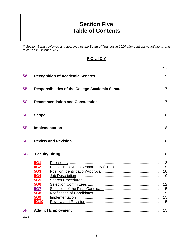# **Section Five Table of Contents**

*\*\* Section 5 was reviewed and approved by the Board of Trustees in 2014 after contract negotiations, and reviewed in October 2017.*

|--|

|           |                                                                                                                      | <b>PAGE</b>                                            |
|-----------|----------------------------------------------------------------------------------------------------------------------|--------------------------------------------------------|
| <u>5A</u> |                                                                                                                      | 5                                                      |
| 5B        | Responsibilities of the College Academic Senates                                                                     | $\overline{7}$                                         |
| <u>5C</u> |                                                                                                                      | 7                                                      |
| <u>5D</u> |                                                                                                                      | 8                                                      |
| 5E        |                                                                                                                      | 8                                                      |
| 5F        |                                                                                                                      | 8                                                      |
| <u>5G</u> |                                                                                                                      | 8                                                      |
|           | <b>5G1</b><br><u>5G2</u><br>5G3<br>5G4<br><u>5G5</u><br>5G6<br><b>5G7</b><br><b>5G8</b><br><b>5G9</b><br><b>5G10</b> | 8<br>9<br>10<br>10<br>12<br>12<br>15<br>15<br>15<br>15 |
| 5H        | <b>Adjunct Employment</b>                                                                                            | 15                                                     |

06/18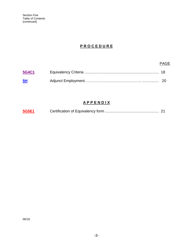#### **P R O C E D U R E**

#### PAGE

| 5G4C1 |  |
|-------|--|
| 5H    |  |

#### **A P P E N D I X**

| 5G5E1 |  |  |
|-------|--|--|
|-------|--|--|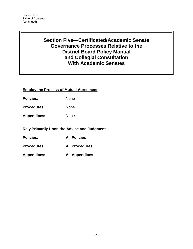Section Five Table of Contents (continued)

## **Section Five—Certificated/Academic Senate Governance Processes Relative to the District Board Policy Manual and Collegial Consultation With Academic Senates**

#### **Employ the Process of Mutual Agreement**

Policies: None

Procedures: None

**Appendices:** None

#### **Rely Primarily Upon the Advice and Judgment**

**Policies: All Policies**

**Procedures: All Procedures**

**Appendices: All Appendices**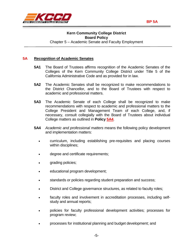



#### <span id="page-4-0"></span>**5A Recognition of Academic Senates**

- **5A1** The Board of Trustees affirms recognition of the Academic Senates of the Colleges of the Kern Community College District under Title 5 of the California Administrative Code and as provided for in law.
- **5A2** The Academic Senates shall be recognized to make recommendations to the District Chancellor, and to the Board of Trustees with respect to academic and professional matters.
- **5A3** The Academic Senate of each College shall be recognized to make recommendations with respect to academic and professional matters to the College President and Management Team of each College, and, if necessary, consult collegially with the Board of Trustees about individual College matters as outlined in **Policy [5A4](#page-4-1)**.
- <span id="page-4-1"></span>**5A4** *Academic and professional matters* means the following policy development and implementation matters:
	- curriculum, including establishing pre-requisites and placing courses within disciplines;
	- degree and certificate requirements;
	- grading policies;
	- educational program development;
	- standards or policies regarding student preparation and success;
	- District and College governance structures, as related to faculty roles;
	- faculty roles and involvement in accreditation processes, including selfstudy and annual reports;
	- policies for faculty professional development activities; processes for program review;
	- processes for institutional planning and budget development; and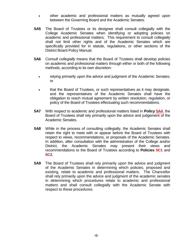- other academic and professional matters as mutually agreed upon between the Governing Board and the Academic Senates.
- **5A5** The Board of Trustees or its designee shall consult collegially with the College Academic Senates when identifying or adopting policies on academic and professional matters. This requirement to consult collegially shall not limit other rights and of the Academic Senates which are specifically provided for in statute, regulations, or other sections of the District Board Policy Manual.
- **5A6** *Consult collegially* means that the Board of Trustees shall develop policies on academic and professional matters through either or both of the following methods, according to its own discretion:
	- relying primarily upon the advice and judgment of the Academic Senates; or
	- that the Board of Trustees, or such representatives as it may designate, and the representatives of the Academic Senates shall have the obligation to reach mutual agreement by written resolution, regulation, or policy of the Board of Trustees effectuating such recommendations.
- **5A7** With respect to academic and professional matters listed in **Policy [5A4](#page-4-1)**, the Board of Trustees shall rely primarily upon the advice and judgement of the Academic Senates.
- **5A8** While in the process of consulting collegially, the Academic Senates shall retain the right to meet with or appear before the Board of Trustees with respect to views, recommendations, or proposals of the Academic Senates. In addition, after consultation with the administration of the College and/or District, the Academic Senates may present their views and recommendations to the Board of Trustees according to **Policies 5C1** and **5C2**.
- **5A9** The Board of Trustees shall rely primarily upon the advice and judgment of the Academic Senates in determining which policies, proposed and existing, relate to academic and professional matters. The Chancellor shall rely primarily upon the advice and judgment of the academic senates in determining which procedures relate to academic and professional matters and shall consult collegially with the Academic Senate with respect to these procedures.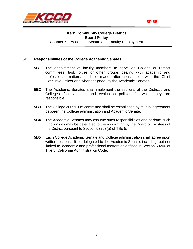

<span id="page-6-0"></span>

#### **5B Responsibilities of the College Academic Senates**

- **5B1** The appointment of faculty members to serve on College or District committees, task forces or other groups dealing with academic and professional matters, shall be made, after consultation with the Chief Executive Officer or his/her designee, by the Academic Senates.
- **5B2** The Academic Senates shall implement the sections of the District's and Colleges' faculty hiring and evaluation policies for which they are responsible.
- **5B3** The College curriculum committee shall be established by mutual agreement between the College administration and Academic Senate.
- **5B4** The Academic Senates may assume such responsibilities and perform such functions as may be delegated to them in writing by the Board of Trustees of the District pursuant to Section 53203(a) of Title 5.
- **5B5** Each College Academic Senate and College administration shall agree upon written responsibilities delegated to the Academic Senate, including, but not limited to, academic and professional matters as defined in Section 53200 of Title 5, California Administration Code.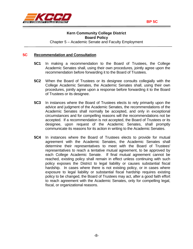

#### <span id="page-7-0"></span>**5C Recommendation and Consultation**

- **5C1** In making a recommendation to the Board of Trustees, the College Academic Senates shall, using their own procedures, jointly agree upon the recommendation before forwarding it to the Board of Trustees.
- **5C2** When the Board of Trustees or its designee consults collegially with the College Academic Senates, the Academic Senates shall, using their own procedures, jointly agree upon a response before forwarding it to the Board of Trustees or its designee.
- **5C3** In instances where the Board of Trustees elects to rely primarily upon the advice and judgment of the Academic Senates, the recommendations of the Academic Senates shall normally be accepted, and only in exceptional circumstances and for compelling reasons will the recommendations not be accepted. If a recommendation is not accepted, the Board of Trustees or its designee, upon request of the Academic Senates, shall promptly communicate its reasons for its action in writing to the Academic Senates.
- **5C4** In instances where the Board of Trustees elects to provide for mutual agreement with the Academic Senates, the Academic Senates shall determine their representatives to meet with the Board of Trustees' representatives to reach a tentative mutual agreement, to be approved by each College Academic Senate. If final mutual agreement cannot be reached, existing policy shall remain in effect unless continuing with such policy exposes the District to legal liability or causes substantial fiscal hardship. In cases where there is not existing policy, or in cases where exposure to legal liability or substantial fiscal hardship requires existing policy to be changed, the Board of Trustees may act, after a good faith effort to reach agreement with the Academic Senates, only for compelling legal, fiscal, or organizational reasons.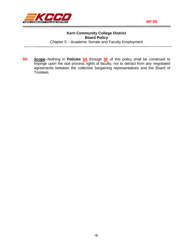

<span id="page-8-0"></span>**5D Scope**--Nothing in **Policies [5A](#page-4-0)** through **[5F](#page-10-0)** of this policy shall be construed to impinge upon the due process rights of faculty, nor to detract from any negotiated agreements between the collective bargaining representatives and the Board of Trustees.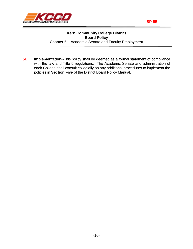

<span id="page-9-0"></span>**5E Implementation**--This policy shall be deemed as a formal statement of compliance with the law and Title 5 regulations. The Academic Senate and administration of each College shall consult collegially on any additional procedures to implement the policies in **Section Five** of the District Board Policy Manual.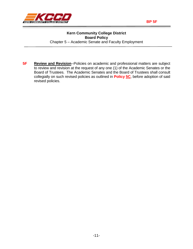

<span id="page-10-0"></span>**5F** Review and Revision--Policies on academic and professional matters are subject to review and revision at the request of any one (1) of the Academic Senates or the Board of Trustees. The Academic Senates and the Board of Trustees shall consult collegially on such revised policies as outlined in **Policy [5C](#page-7-0)**, before adoption of said revised policies.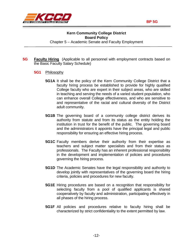



- <span id="page-11-1"></span><span id="page-11-0"></span>**5G Faculty Hiring** (Applicable to all personnel with employment contracts based on the Basic Faculty Salary Schedule)
	- **5G1** Philosophy
		- **5G1A** It shall be the policy of the Kern Community College District that a faculty hiring process be established to provide for highly qualified College faculty who are expert in their subject areas, who are skilled in teaching and serving the needs of a varied student population, who can enhance overall College effectiveness, and who are sensitive to and representative of the racial and cultural diversity of the District adult community.
		- **5G1B** The governing board of a community college district derives its authority from statute and from its status as the entity holding the institution in trust for the benefit of the public. The governing board and the administrators it appoints have the principal legal and public responsibility for ensuring an effective hiring process.
		- **5G1C** Faculty members derive their authority from their expertise as teachers and subject matter specialists and from their status as professionals. The Faculty has an inherent professional responsibility in the development and implementation of policies and procedures governing the hiring process.
		- **5G1D** The Academic Senates have the legal responsibility and authority to develop jointly with representatives of the governing board the hiring criteria, policies and procedures for new faculty.
		- **5G1E** Hiring procedures are based on a recognition that responsibility for selecting faculty from a pool of qualified applicants is shared cooperatively by faculty and administration, participating effectively in all phases of the hiring process.
		- **5G1F** All policies and procedures relative to faculty hiring shall be characterized by strict confidentiality to the extent permitted by law.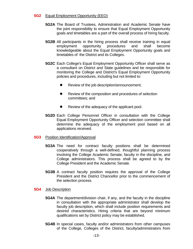#### <span id="page-12-0"></span>**5G2** Equal Employment Opportunity (EEO)

- **5G2A** The Board of Trustees, Administration and Academic Senate have the joint responsibility to ensure that Equal Employment Opportunity goals and timetables are a part of the overall process of hiring faculty.
- **5G2B** All participants in the hiring process shall receive training in equal employment opportunity procedures and shall become knowledgeable about the Equal Employment Opportunity goals and timetables of the District and its Colleges.
- **5G2C** Each College's Equal Employment Opportunity Officer shall serve as a consultant on District and State guidelines and be responsible for monitoring the College and District's Equal Employment Opportunity policies and procedures, including but not limited to:
	- Review of the job description/announcement;
	- Review of the composition and procedures of selection committees; and
	- Review of the adequacy of the applicant pool.
- **5G2D** Each College Personnel Officer in consultation with the College Equal Employment Opportunity Officer and selection committee shall determine the adequacy of the employment pool based on all applications received.

#### <span id="page-12-1"></span>**5G3** Position Identification/Approval

- **5G3A** The need for contract faculty positions shall be determined cooperatively through a well-defined, thoughtful planning process involving the College Academic Senate, faculty in the discipline, and College administrators. This process shall be agreed to by the College President and the Academic Senate.
- **5G3B** A contract faculty position requires the approval of the College President and the District Chancellor prior to the commencement of the selection process.

#### <span id="page-12-2"></span>**5G4** Job Description

- **5G4A** The department/division chair, if any, and the faculty in the discipline in consultation with the appropriate administrator shall develop the faculty job description, which shall include position requirements and desired characteristics. Hiring criteria that are beyond minimum qualifications set by District policy may be established.
- **5G4B** In special cases, faculty and/or administrators from other campuses of the College, Colleges of the District, faculty/administrators from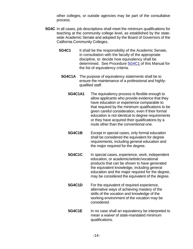other colleges, or outside agencies may be part of the consultative process.

- **5G4C** In all cases, job descriptions shall meet the minimum qualifications for teaching at the community college level, as established by the statewide Academic Senate and adopted by the Board of Governors of the California Community Colleges.
	- **5G4C1** It shall be the responsibility of the Academic Senate, in consultation with the faculty of the appropriate discipline, to decide how equivalency shall be determined. See Procedure [5G4C1 o](#page-20-0)f this Manual for the list of equivalency criteria.
		- **5G4C1A** The purpose of equivalency statements shall be to ensure the maintenance of a professional and highlyqualified staff.
			- **5G4C1A1** The equivalency process is flexible enough to allow applicants who provide evidence that they have education or experience comparable to that required by the minimum qualifications to be given careful consideration, even if their formal education is not identical to degree requirements or they have acquired their qualifications by a route other than the conventional one.
			- **5G4C1B** Except in special cases, only formal education shall be considered the equivalent for degree requirements, including general education and the major required for the degree.
			- **5G4C1C** In special cases, experience, work, independent education, or academic/artistic/vocational products that can be shown to have generated the equivalent knowledge, including general education and the major required for the degree, may be considered the equivalent of the degree.
			- **5G4C1D** For the equivalent of required experience, alternative ways of achieving mastery of the skills of the vocation and knowledge of the working environment of the vocation may be considered.
			- **5G4C1E** In no case shall an equivalency be interpreted to mean a *waiver* of state-mandated minimum qualifications.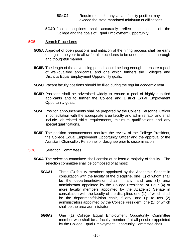- **5G4C2** Requirements for any vacant faculty position may exceed the state-mandated minimum qualifications.
- **5G4D** Job descriptions shall accurately reflect the needs of the College and the goals of Equal Employment Opportunity.

#### <span id="page-14-0"></span>**5G5** Search Procedures

- **5G5A** Approval of open positions and initiation of the hiring process shall be early enough in the year to allow for all procedures to be undertaken in a thorough and thoughtful manner.
- **5G5B** The length of the advertising period should be long enough to ensure a pool of well-qualified applicants, and one which furthers the College's and District's Equal Employment Opportunity goals.
- **5G5C** Vacant faculty positions should be filled during the regular academic year.
- **5G5D** Positions shall be advertised widely to ensure a pool of highly qualified applicants and to further the College and District Equal Employment Opportunity goals.
- **5G5E** Position announcements shall be prepared by the College Personnel Officer in consultation with the appropriate area faculty and administrator and shall include job-related skills requirements, minimum qualifications and any special qualifications.
- **5G5F** The position announcement requires the review of the College President, the College Equal Employment Opportunity Officer and the approval of the Assistant Chancellor, Personnel or designee prior to dissemination.

#### <span id="page-14-1"></span>**5G6** Selection Committees

- **5G6A** The selection committee shall consist of at least a majority of faculty. The selection committee shall be composed of at most:
	- **5G6A1** Three (3) faculty members appointed by the Academic Senate in consultation with the faculty of the discipline, one (1) of whom shall be the department/division chair, if any, and one (1) area administrator appointed by the College President; **or** Four (4) or more faculty members appointed by the Academic Senate in consultation with the faculty of the discipline, one (1) of which shall be the department/division chair, if any, and up to two (2) administrators appointed by the College President, one (1) of which shall be the area administrator;
	- **5G6A2** One (1) College Equal Employment Opportunity Committee member who shall be a faculty member if at all possible appointed by the College Equal Employment Opportunity Committee chair.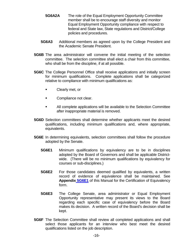- **5G6A2A** The role of the Equal Employment Opportunity Committee member shall be to encourage staff diversity and monitor Equal Employment Opportunity compliance with respect to federal and State law, State regulations and District/College policies and procedures.
- **5G6A3** Additional members as agreed upon by the College President and the Academic Senate President.
- **5G6B** The area administrator will convene the initial meeting of the selection committee. The selection committee shall elect a chair from this committee, who shall be from the discipline, if at all possible.
- **5G6C** The College Personnel Office shall receive applications and initially screen for minimum qualifications. Complete applications shall be categorized relative to compliance with minimum qualifications as:
	- Clearly met, or
	- **Compliance not clear.**
	- All complete applications will be available to the Selection Committee after inappropriate material is removed.
- **5G6D** Selection committees shall determine whether applicants meet the desired qualifications, including minimum qualifications and, where appropriate, equivalents.
- **5G6E** In determining equivalents, selection committees shall follow the procedure adopted by the Senate.
	- **5G6E1** Minimum qualifications by equivalency are to be in disciplines adopted by the Board of Governors and shall be applicable Districtwide. (There will be no minimum qualifications by equivalency for courses or sub-disciplines.)
	- **5G6E2** For those candidates deemed qualified by equivalents, a written record of evidence of equivalence shall be maintained. See **Appendix [5G6E1](#page-25-0)** of this Manual for the Certification of Equivalency form.
	- **5G6E3** The College Senate, area administrator or Equal Employment Opportunity representative may present its views to the Board regarding each specific case of equivalency before the Board makes its decision. A written record of the Board's decision shall be kept.
- **5G6F** The Selection Committee shall review all completed applications and shall select those applicants for an interview who best meet the desired qualifications listed on the job description.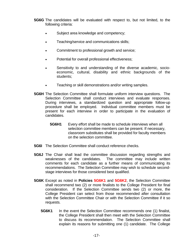**5G6G** The candidates will be evaluated with respect to, but not limited, to the following criteria:

- Subject area knowledge and competency;
- Teaching/service and communications skills;
- Commitment to professional growth and service;
- Potential for overall professional effectiveness;
- Sensitivity to and understanding of the diverse academic, socioeconomic, cultural, disability and ethnic backgrounds of the students;
- Teaching or skill demonstrations and/or writing samples.
- **5G6H** The Selection Committee shall formulate uniform interview questions. The Selection Committee shall conduct interviews and evaluate responses. During interviews, a standardized question and appropriate follow-up procedure shall be employed. Individual committee members must be present for each interview in order to participate in the evaluation of candidates.
	- **5G6H1** Every effort shall be made to schedule interviews when all selection committee members can be present. If necessary, classroom substitutes shall be provided for faculty members on the selection committee.
- **5G6I** The Selection Committee shall conduct reference checks.
- **5G6J** The Chair shall lead the committee discussion regarding strengths and weaknesses of the candidates. The committee may include written comments for each candidate as a further means of communicating its recommendations. The Selection Committee may wish to schedule secondstage interviews for those considered best qualified.
- **5G6K** Except as noted in **Policies 5G6K1** and **5G6K2**, the Selection Committee shall recommend two (2) or more finalists to the College President for final consideration. If the Selection Committee sends two (2) or more, the College President can select from those recommended after consultation with the Selection Committee Chair or with the Selection Committee if it so requests.
	- **5G6K1** In the event the Selection Committee recommends one (1) finalist, the College President shall then meet with the Selection Committee to discuss its recommendation. The Selection Committee shall explain its reasons for submitting one (1) candidate. The College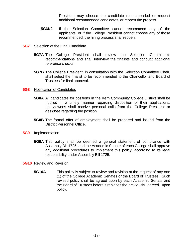President may choose the candidate recommended or request additional recommended candidates, or reopen the process.

**5G6K2** If the Selection Committee cannot recommend any of the applicants, or if the College President cannot choose any of those recommended, the hiring process shall reopen.

#### <span id="page-17-0"></span>**5G7** Selection of the Final Candidate

- **5G7A** The College President shall review the Selection Committee's recommendations and shall interview the finalists and conduct additional reference checks.
- **5G7B** The College President, in consultation with the Selection Committee Chair, shall select the finalist to be recommended to the Chancellor and Board of Trustees for final approval.

#### <span id="page-17-1"></span>**5G8** Notification of Candidates

- **5G8A** All candidates for positions in the Kern Community College District shall be notified in a timely manner regarding disposition of their applications. Interviewees shall receive personal calls from the College President or designee regarding the position.
- **5G8B** The formal offer of employment shall be prepared and issued from the District Personnel Office.

#### <span id="page-17-2"></span>**5G9** Implementation

**5G9A** This policy shall be deemed a general statement of compliance with Assembly Bill 1725, and the Academic Senate of each College shall approve any additional procedures to implement this policy, according to its legal responsibility under Assembly Bill 1725.

#### <span id="page-17-3"></span>**5G10** Review and Revision

**5G10A** This policy is subject to review and revision at the request of any one (1) of the College Academic Senates or the Board of Trustees. Such revised policy shall be agreed upon by each Academic Senate and the Board of Trustees before it replaces the previously agreed upon policy.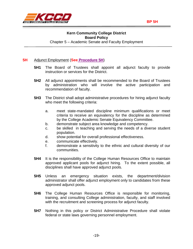

#### <span id="page-18-0"></span>**5H** Adjunct Employment (**See [Procedure 5H](#page-22-1)**)

- **5H1** The Board of Trustees shall appoint all adjunct faculty to provide instruction or services for the District.
- **5H2** All adjunct appointments shall be recommended to the Board of Trustees by administration who will involve the active participation and recommendation of faculty.
- **5H3** The District shall adopt administrative procedures for hiring adjunct faculty who meet the following criteria:
	- a. meet state-mandated discipline minimum qualifications or meet criteria to receive an equivalency for the discipline as determined by the College Academic Senate Equivalency Committee.
	- b. demonstrate subject area knowledge and competency.
	- c. be skilled in teaching and serving the needs of a diverse student population.
	- d. show potential for overall professional effectiveness.
	- e. communicate effectively.
	- f. demonstrate a sensitivity to the ethnic and cultural diversity of our communities.
- **5H4** It is the responsibility of the College Human Resources Office to maintain approved applicant pools for adjunct hiring. To the extent possible, all disciplines shall have approved adjunct pools.
- **5H5** Unless an emergency situation exists, the department/division administrator shall offer adjunct employment only to candidates from these approved adjunct pools.
- **5H6** The College Human Resources Office is responsible for monitoring, training, and consulting College administration, faculty, and staff involved with the recruitment and screening process for adjunct faculty.
- **5H7** Nothing in this policy or District Administrative Procedure shall violate federal or state laws governing personnel employment.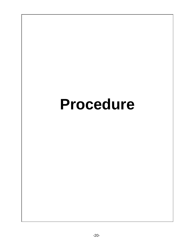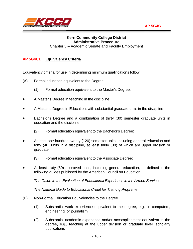

### <span id="page-20-0"></span>**Kern Community College District Administrative Procedure**

Chapter 5 – Academic Senate and Faculty Employment

#### **AP 5G4C1 Equivalency Criteria**

Equivalency criteria for use in determining minimum qualifications follow:

- (A) Formal education equivalent to the Degree
	- (1) Formal education equivalent to the Master's Degree:
- A Master's Degree in teaching in the discipline
- A Master's Degree in Education, with substantial graduate units in the discipline
- Bachelor's Degree and a combination of thirty (30) semester graduate units in education and the discipline
	- (2) Formal education equivalent to the Bachelor's Degree:
- At least one hundred twenty (120) semester units, including general education and forty (40) units in a discipline, at least thirty (30) of which are upper division or graduate
	- (3) Formal education equivalent to the Associate Degree:
- At least sixty (50) approved units, including general education, as defined in the following guides published by the American Council on Education:

*The Guide to the Evaluation of Educational Experience in the Armed Services*

*The National Guide to Educational Credit for Training Programs*

- (B) Non-Formal Education Equivalencies to the Degree
	- (1) Substantial work experience equivalent to the degree, e.g., in computers, engineering, or journalism
	- (2) Substantial academic experience and/or accomplishment equivalent to the degree, e.g., teaching at the upper division or graduate level, scholarly publications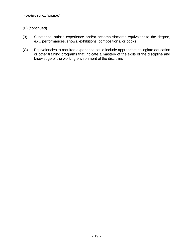#### (B) (continued)

- (3) Substantial artistic experience and/or accomplishments equivalent to the degree, e.g., performances, shows, exhibitions, compositions, or books
- (C) Equivalencies to required experience could include appropriate collegiate education or other training programs that indicate a mastery of the skills of the discipline and knowledge of the working environment of the discipline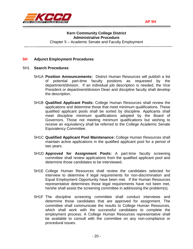<span id="page-22-1"></span><span id="page-22-0"></span>



#### **Kern Community College District Administrative Procedure** Chapter 5 – Academic Senate and Faculty Employment

#### **5H Adjunct Employment Procedures**

- 5H1 **Search Procedures**
	- 5H1A **Position Announcements:** District Human Resources will publish a list of potential part-time faculty positions as requested by the department/division. If an individual job description is needed, the Vice President or department/division Dean and discipline faculty shall develop the description.
	- 5H1B **Qualified Applicant Pools:** College Human Resources shall review the applications and determine those that meet minimum qualifications. These qualified applicant pools shall be sorted by discipline. Applicants shall meet discipline minimum qualifications adopted by the Board of Governors. Those not meeting minimum qualifications but wishing to receive an equivalency shall be referred to the College Academic Senate Equivalency Committee.
	- 5H1C **Qualified Applicant Pool Maintenance:** College Human Resources shall maintain active applications in the qualified applicant pool for a period of two years.
	- 5H1D **Approved for Assignment Pools:** A part-time faculty screening committee shall review applications from the qualified applicant pool and determine those candidates to be interviewed.
	- 5H1E College Human Resources shall review the candidates selected for interview to determine if legal requirements for non-discrimination and Equal Employment Opportunity have been met. If the Human Resources representative determines those legal requirements have not been met, he/she shall assist the screening committee in addressing the problem(s).
	- 5H1F The discipline screening committee shall conduct interviews and determine those candidates that are approved for assignment. The committee shall communicate the results to College Human Resources, which shall work with the successful candidates to complete the employment process. A College Human Resources representative shall be available to consult with the committee on any non-compliance or procedural issues.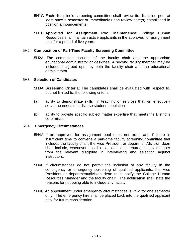- 5H1G Each discipline's screening committee shall review its discipline pool at least once a semester or immediately upon review date(s) established in position announcements.
- 5H1H **Approved for Assignment Pool Maintenance:** College Human Resources shall maintain active applicants in the approved for assignment pool for a period of five years.

#### 5H2 **Composition of Part-Time Faculty Screening Committee**

5H2A The committee consists of the faculty chair and the appropriate educational administrator or designee. A second faculty member may be included if agreed upon by both the faculty chair and the educational administrator.

#### 5H3 **Selection of Candidates**

- 5H3A **Screening Criteria:** The candidates shall be evaluated with respect to, but not limited to, the following criteria:
- (a) ability to demonstrate skills in teaching or services that will effectively serve the needs of a diverse student population
- (b) ability to provide specific subject matter expertise that meets the District's core mission

#### 5H4 **Emergency Circumstances**

- 5H4A If an approved for assignment pool does not exist, and if there is insufficient time to convene a part-time faculty screening committee that includes the faculty chair, the Vice President or department/division dean shall include, whenever possible, at least one tenured faculty member from the relevant discipline in interviewing and selecting adjunct instructors.
- 5H4B If circumstances do not permit the inclusion of any faculty in the contingency or emergency screening of qualified applicants, the Vice President or department/division dean must notify the College Human Resources Manager and the faculty chair. The notification shall state the reasons for not being able to include any faculty.
- 5H4C An appointment under emergency circumstances is valid for one semester only. The emergency hire shall be placed back into the qualified applicant pool for future consideration.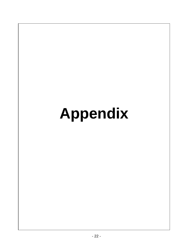# **Appendix**